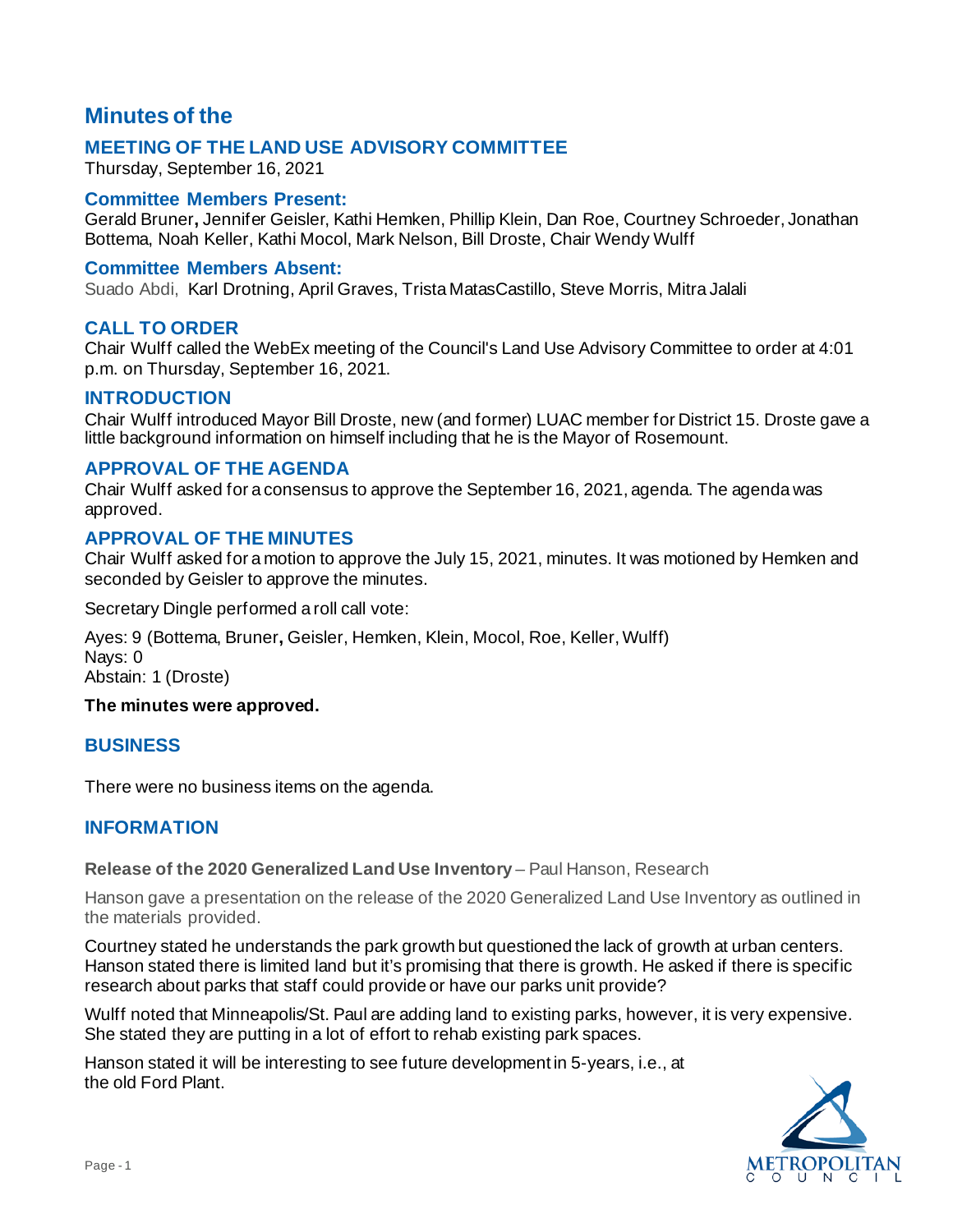# **Minutes of the**

# **MEETING OF THE LAND USE ADVISORY COMMITTEE**

Thursday, September 16, 2021

#### **Committee Members Present:**

Gerald Bruner**,** Jennifer Geisler, Kathi Hemken, Phillip Klein, Dan Roe, Courtney Schroeder, Jonathan Bottema, Noah Keller, Kathi Mocol, Mark Nelson, Bill Droste, Chair Wendy Wulff

#### **Committee Members Absent:**

Suado Abdi, Karl Drotning, April Graves, Trista MatasCastillo, Steve Morris, Mitra Jalali

# **CALL TO ORDER**

Chair Wulff called the WebEx meeting of the Council's Land Use Advisory Committee to order at 4:01 p.m. on Thursday, September 16, 2021.

#### **INTRODUCTION**

Chair Wulff introduced Mayor Bill Droste, new (and former) LUAC member for District 15. Droste gave a little background information on himself including that he is the Mayor of Rosemount.

# **APPROVAL OF THE AGENDA**

Chair Wulff asked for a consensus to approve the September 16, 2021, agenda. The agenda was approved.

# **APPROVAL OF THE MINUTES**

Chair Wulff asked for a motion to approve the July 15, 2021, minutes. It was motioned by Hemken and seconded by Geisler to approve the minutes.

Secretary Dingle performed a roll call vote:

Ayes: 9 (Bottema, Bruner**,** Geisler, Hemken, Klein, Mocol, Roe, Keller, Wulff) Nays: 0 Abstain: 1 (Droste)

#### **The minutes were approved.**

#### **BUSINESS**

There were no business items on the agenda.

# **INFORMATION**

**Release of the 2020 Generalized Land Use Inventory** – Paul Hanson, Research

Hanson gave a presentation on the release of the 2020 Generalized Land Use Inventory as outlined in the materials provided.

Courtney stated he understands the park growth but questioned the lack of growth at urban centers. Hanson stated there is limited land but it's promising that there is growth. He asked if there is specific research about parks that staff could provide or have our parks unit provide?

Wulff noted that Minneapolis/St. Paul are adding land to existing parks, however, it is very expensive. She stated they are putting in a lot of effort to rehab existing park spaces.

Hanson stated it will be interesting to see future development in 5-years, i.e., at the old Ford Plant.